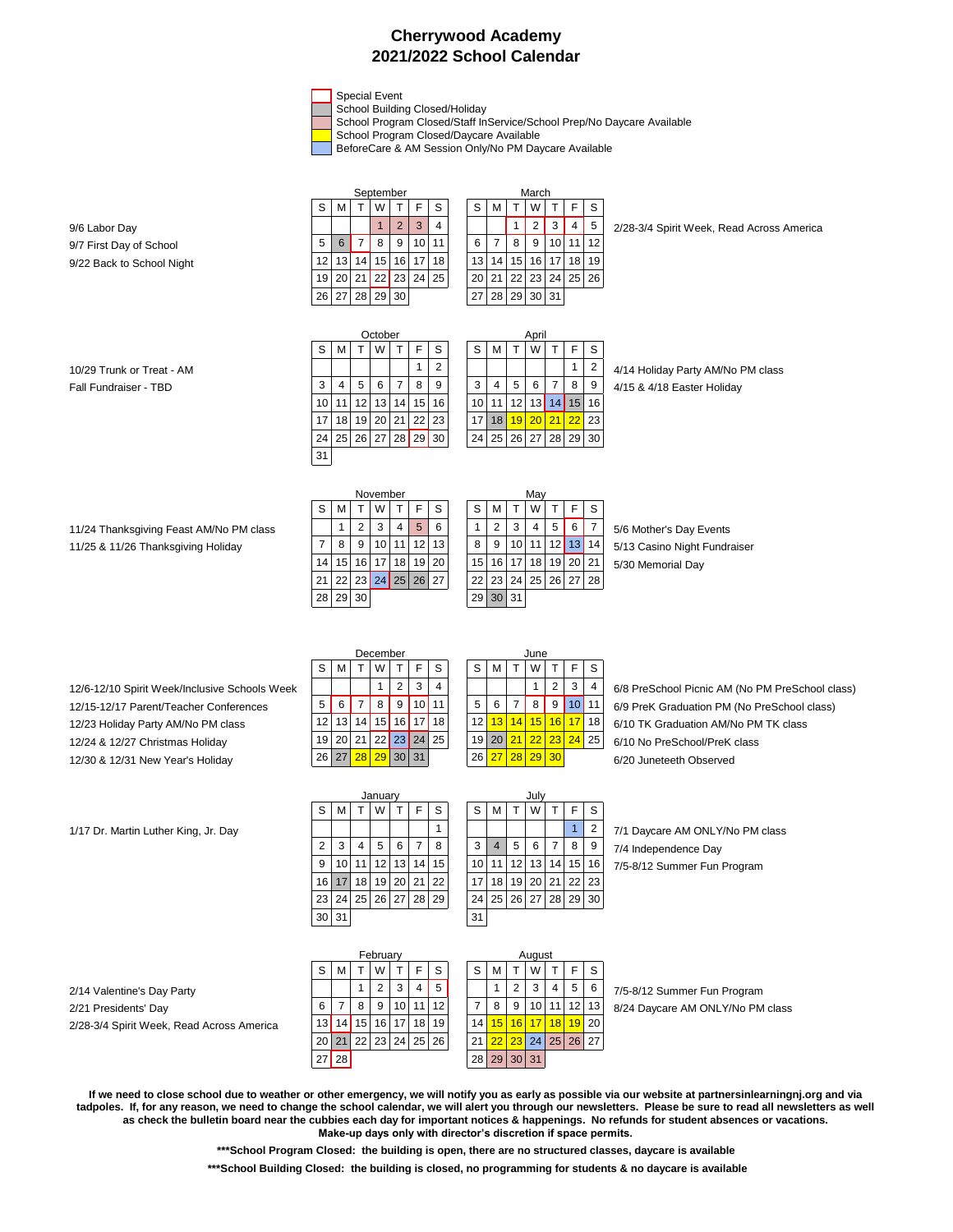## **Cherrywood Academy 2021/2022 School Calendar**

Special Event

School Building Closed/Holiday

School Program Closed/Staff InService/School Prep/No Daycare Available

School Program Closed/Daycare Available

BeforeCare & AM Session Only/No PM Daycare Available

|                           |                       |    |    | September       |                 |    |           |  | March |    |                 |       |                 |    |    |
|---------------------------|-----------------------|----|----|-----------------|-----------------|----|-----------|--|-------|----|-----------------|-------|-----------------|----|----|
|                           | F<br>S<br>S<br>W<br>м |    |    |                 |                 |    |           |  |       | м  |                 | W     |                 |    | S  |
| 9/6 Labor Day             |                       |    |    |                 | 2               | 3  | 4         |  |       |    |                 |       | 3               | 4  | 5  |
| 9/7 First Day of School   | 5                     | 6  |    | 8               | 9               |    | $10$   11 |  | 6     |    | 8               | 9     | 10 <sup>1</sup> | 11 | 12 |
| 9/22 Back to School Night | 12 <sub>1</sub>       | 13 | 14 | 15 <sup>1</sup> | 16 <sup>1</sup> | 17 | 18        |  | 13    | 14 | 15 <sup>1</sup> |       | $16$   17       | 18 | 19 |
|                           | 19 <sup>1</sup>       | 20 | 21 |                 | $22$ 23 24      |    | 25        |  | 20    | 21 |                 |       | 22 23 24        | 25 | 26 |
|                           | 26                    | 27 | 28 | 29              | 30              |    |           |  | 27    | 28 | 291             | 30 31 |                 |    |    |

| S               | м              |   | W              |                 | F                | s |
|-----------------|----------------|---|----------------|-----------------|------------------|---|
|                 |                |   | 2              | 3               | 4                | Ë |
| 6               |                | 8 | 9              | 10 <sup>1</sup> |                  |   |
| 13 <sup>1</sup> |                |   | 14 15 16 17 18 |                 |                  | 1 |
| 20              |                |   |                |                 | 21 22 23 24 25 2 |   |
|                 | 27 28 29 30 31 |   |                |                 |                  |   |

9/6 Labor Day 1 2 3 4 1 2 3 4 1 2 3 4 5 2/28-3/4 Spirit Week, Read Across America

|                           |                 |             |   | October |   |    |                   |                 |                   |   | April |             |                                |    |                            |
|---------------------------|-----------------|-------------|---|---------|---|----|-------------------|-----------------|-------------------|---|-------|-------------|--------------------------------|----|----------------------------|
|                           | S               | M           |   | W       |   | F. | S                 | S               | м                 |   | W     |             | F                              | S  |                            |
| 10/29 Trunk or Treat - AM |                 |             |   |         |   |    | 2                 |                 |                   |   |       |             | 1                              | 2  | 4/14 Holiday Party AM/No F |
| Fall Fundraiser - TBD     | 3               | 4           | 5 | 6       | 7 | 8  | 9                 | 3               | 4                 | 5 | 6     | $7^{\circ}$ | 8                              | 9  | 4/15 & 4/18 Easter Holiday |
|                           |                 | 10 11 12 13 |   |         |   |    | 14 15 16          |                 | 10 11 12 13 14 15 |   |       |             |                                | 16 |                            |
|                           | 17 <sup>1</sup> |             |   |         |   |    | 18 19 20 21 22 23 | 17 <sup>1</sup> |                   |   |       |             | 18 <mark>19 20 21 22</mark> 23 |    |                            |
|                           |                 | 24 25 26 27 |   |         |   |    | 28 29 30          | 24 <sup>1</sup> | 25 26 27 28 29 30 |   |       |             |                                |    |                            |
|                           | 31              |             |   |         |   |    |                   |                 |                   |   |       |             |                                |    |                            |

| S  | M  | Т  | W  |                | F  | S              |  |  |  |  |  |  |
|----|----|----|----|----------------|----|----------------|--|--|--|--|--|--|
|    |    |    |    |                |    | $\overline{2}$ |  |  |  |  |  |  |
| 3  | 4  | 5  | 6  | 7              | 8  | 9              |  |  |  |  |  |  |
| 10 | 11 | 12 | 13 | 14             | 15 | 16             |  |  |  |  |  |  |
| 17 | 18 | 19 | 20 | 21             | 22 | 23             |  |  |  |  |  |  |
| 24 |    |    |    | 25 26 27 28 29 |    | 30             |  |  |  |  |  |  |
|    |    |    |    |                |    |                |  |  |  |  |  |  |

10/29 Trunk or Treat - AM 1 2 2 1 2 2 1 2 4/14 Holiday Party AM/No PM class

|                                         | November |    |                 |                |           |                 |                   |  | Mav |                      |   |    |  |                |   |                              |
|-----------------------------------------|----------|----|-----------------|----------------|-----------|-----------------|-------------------|--|-----|----------------------|---|----|--|----------------|---|------------------------------|
|                                         | S        | M  |                 | W              |           | F               | S                 |  | S   | м                    |   | W. |  | F.             | S |                              |
| 11/24 Thanksgiving Feast AM/No PM class |          |    | 2               | 3 <sub>1</sub> | 4         | 5               | 6                 |  |     | 2                    | 3 | 4  |  | $5 \mid 6$     |   | 5/6 Mother's Day Events      |
| 11/25 & 11/26 Thanksgiving Holiday      |          | 8  | 9               |                | $10$   11 | 12 <sup>1</sup> | 13                |  | 8   | 9                    |   |    |  | 10 11 12 13 14 |   | 5/13 Casino Night Fundraiser |
|                                         | 14       | 15 | 16 <sup>1</sup> |                |           |                 | 17 18 19 20       |  | 15  | 16 17 18 19 20 21    |   |    |  |                |   | 5/30 Memorial Day            |
|                                         | 21       |    |                 |                |           |                 | 22 23 24 25 26 27 |  |     | 22 23 24 25 26 27 28 |   |    |  |                |   |                              |
|                                         | 28       |    | 29 30           |                |           |                 |                   |  |     | 29 30 31             |   |    |  |                |   |                              |
|                                         |          |    |                 |                |           |                 |                   |  |     |                      |   |    |  |                |   |                              |

| May     |                |    |    |    |    |    |  |  |  |  |  |  |
|---------|----------------|----|----|----|----|----|--|--|--|--|--|--|
| S       | м              |    | W  |    | F  | S  |  |  |  |  |  |  |
| 1       | $\overline{2}$ | 3  | 4  | 5  | 6  |    |  |  |  |  |  |  |
| 8       | 9              | 10 | 11 | 12 | 13 | 14 |  |  |  |  |  |  |
| 5       | 16             | 17 | 18 | 19 | 20 | 21 |  |  |  |  |  |  |
| $^{22}$ | 23             | 24 | 25 | 26 | 27 | 28 |  |  |  |  |  |  |
| 29      | 30             | 31 |    |    |    |    |  |  |  |  |  |  |

12/15-12/17 Parent/Teacher Conferences  $5 \mid 6 \mid 7 \mid 8 \mid 9 \mid 10 \mid 11 \mid 5 \mid 6 \mid 7 \mid 8 \mid 9 \mid 10 \mid 11 \mid 6/9$  PreK Graduation PM (No PreSchool class) 12/23 Holiday Party AM/No PM class 12 13 14 15 16 17 18 16 17 18 14 15 16 17 18 6/10 TK Graduation AM/No PM TK class 12/24 & 12/27 Christmas Holiday 19 20 21 22 23 24 25 19 20 21 22 23 24 25 6/10 No PreSchool/PreK class 12/30 & 12/31 New Year's Holiday  $26\,|27\,|28\,|29\,|30\,|31\,|$   $26\,|27\,|28\,|29\,|30\,|$  6/20 Juneteeth Observed

|      | December |    |                 |    |          |    |  |    | June |    |    |       |   |    |  |  |  |
|------|----------|----|-----------------|----|----------|----|--|----|------|----|----|-------|---|----|--|--|--|
| S    |          |    | w               |    |          | S  |  | S  |      |    | W  |       |   | S  |  |  |  |
|      |          |    |                 | 2  | 3        | 4  |  |    |      |    |    | 2     | 3 | 4  |  |  |  |
| 5    | 6        |    | 8               | 9  |          | 11 |  | 5  | 6    |    | 8  | 9     |   | 11 |  |  |  |
| 12   | 13       | 14 | 15 <sup>1</sup> | 16 | 17       | 18 |  | 12 | 13   | 14 | 15 | 16    |   | 18 |  |  |  |
| 19   | 20       | 21 |                 |    | 22 23 24 | 25 |  | 19 | 20   | 21 | 22 | 23 24 |   | 25 |  |  |  |
| 26 I | 27       | 28 | 29              |    | 30 31    |    |  | 26 |      | 28 | 29 | 30    |   |    |  |  |  |

| June |    |    |    |                |    |                |  |  |  |  |  |  |  |
|------|----|----|----|----------------|----|----------------|--|--|--|--|--|--|--|
| S    | м  | T  | W  | т              | F  | Ś              |  |  |  |  |  |  |  |
|      |    |    |    | $\overline{2}$ | 3  | 4              |  |  |  |  |  |  |  |
| 5    | 6  | 7  | 8  | 9              | 10 |                |  |  |  |  |  |  |  |
| 12   | 13 | 14 | 15 | 16             | 17 | 11             |  |  |  |  |  |  |  |
| 19   | 20 | 21 | 22 | 23             | 24 | $\overline{2}$ |  |  |  |  |  |  |  |
| 26   | 27 | 28 | 29 | 30             |    |                |  |  |  |  |  |  |  |

12/6-12/10 Spirit Week/Inclusive Schools Week | | | | 1 | 2 | 3 | 4 | | | | | | | 2 | 3 | 4 | 6/8 PreSchool Picnic AM (No PM PreSchool class)

2/14 Valentine's Day Party<br>
2/21 Presidents' Day<br>
2/21 Presidents' Day 2/21 Presidents' Day<br>2/28-3/4 Spirit Week, Read Across America 13 14 15 16 17 18 19 14 15 16 17 18 19 19 18 19 2/28-3/4 Spirit Week, Read Across America 13 14 15 16 17 18 19 14 15 16 17 18 19 20

| 2  | 3  | 4  | 5        | 6  |    | 8  | 3  |
|----|----|----|----------|----|----|----|----|
| 9  | 10 | 11 | 12       | 13 | 14 | 15 | 10 |
| 16 | 17 | 18 | 19       | 20 | 21 | 22 | 17 |
| 23 | 24 |    | 25 26 27 |    | 28 | 29 | 24 |
| 30 | 31 |    |          |    |    |    | 31 |
|    |    |    |          |    |    |    |    |
|    |    |    | February |    |    |    |    |
|    | NЛ |    | w        |    | F  | c  | c  |

| $\overline{2}$ | 3               | 4               | 5  | 6  |    | 8  |        | 3  | 4  | 5  | 6  |    | 8  | 9  |  |  |  |
|----------------|-----------------|-----------------|----|----|----|----|--------|----|----|----|----|----|----|----|--|--|--|
| 9              | 10              | 11              | 12 | 13 | 14 | 15 |        | 10 | 11 | 12 | 13 | 14 | 15 | 16 |  |  |  |
| 16             |                 | 18              | 19 | 20 | 21 | 22 |        |    | 18 | 19 | 20 | 21 | 22 | 23 |  |  |  |
| 23 I           | 24 <sub>1</sub> | 25 <sub>1</sub> | 26 | 27 | 28 | 29 |        | 24 | 25 | 26 | 27 | 28 | 29 | 30 |  |  |  |
| 30             | 31              |                 |    |    |    |    |        | 31 |    |    |    |    |    |    |  |  |  |
|                |                 |                 |    |    |    |    |        |    |    |    |    |    |    |    |  |  |  |
|                | February        |                 |    |    |    |    | August |    |    |    |    |    |    |    |  |  |  |

1/17 Dr. Martin Luther King, Jr. Day 1 1 2 7/1 Daycare AM ONLY/No PM class 7/4 Independence Day 7/5-8/12 Summer Fun Program

|      |    |                 | February |       |                 |    | August |    |    |    |            |    |    |  |  |
|------|----|-----------------|----------|-------|-----------------|----|--------|----|----|----|------------|----|----|--|--|
| S    | м  |                 | W        |       |                 | S  | S      | М  |    | W  |            | F  | S  |  |  |
|      |    | 1               | 2        | 3     |                 | 5  |        | 1  | 2  | 3  | 4          | 5  | 6  |  |  |
| 6    | 7  | 8               | 9        | 10    | 11              | 12 |        | 8  | 9  | 10 | 11         | 12 | 13 |  |  |
| 13   | 14 | 15              | 16       | 17    | 18              | 19 | 14     | 15 | 16 | 17 | 18         | 19 | 20 |  |  |
| 20 l | 21 | 22 <sub>1</sub> |          | 23 24 | 25 <sub>1</sub> | 26 | 21     | 22 | 23 |    | $24$ 25 26 |    | 27 |  |  |
| 27   | 28 |                 |          |       |                 |    | 28     | 29 | 30 | 31 |            |    |    |  |  |

**If we need to close school due to weather or other emergency, we will notify you as early as possible via our website at partnersinlearningnj.org and via tadpoles. If, for any reason, we need to change the school calendar, we will alert you through our newsletters. Please be sure to read all newsletters as well as check the bulletin board near the cubbies each day for important notices & happenings. No refunds for student absences or vacations. Make-up days only with director's discretion if space permits.** 

S | M | T | W | T | F | S | | S | M | T | W | T | F | S

January July<br>| W | T | F | S | S | M | T | W

**\*\*\*School Program Closed: the building is open, there are no structured classes, daycare is available**

 **\*\*\*School Building Closed: the building is closed, no programming for students & no daycare is available**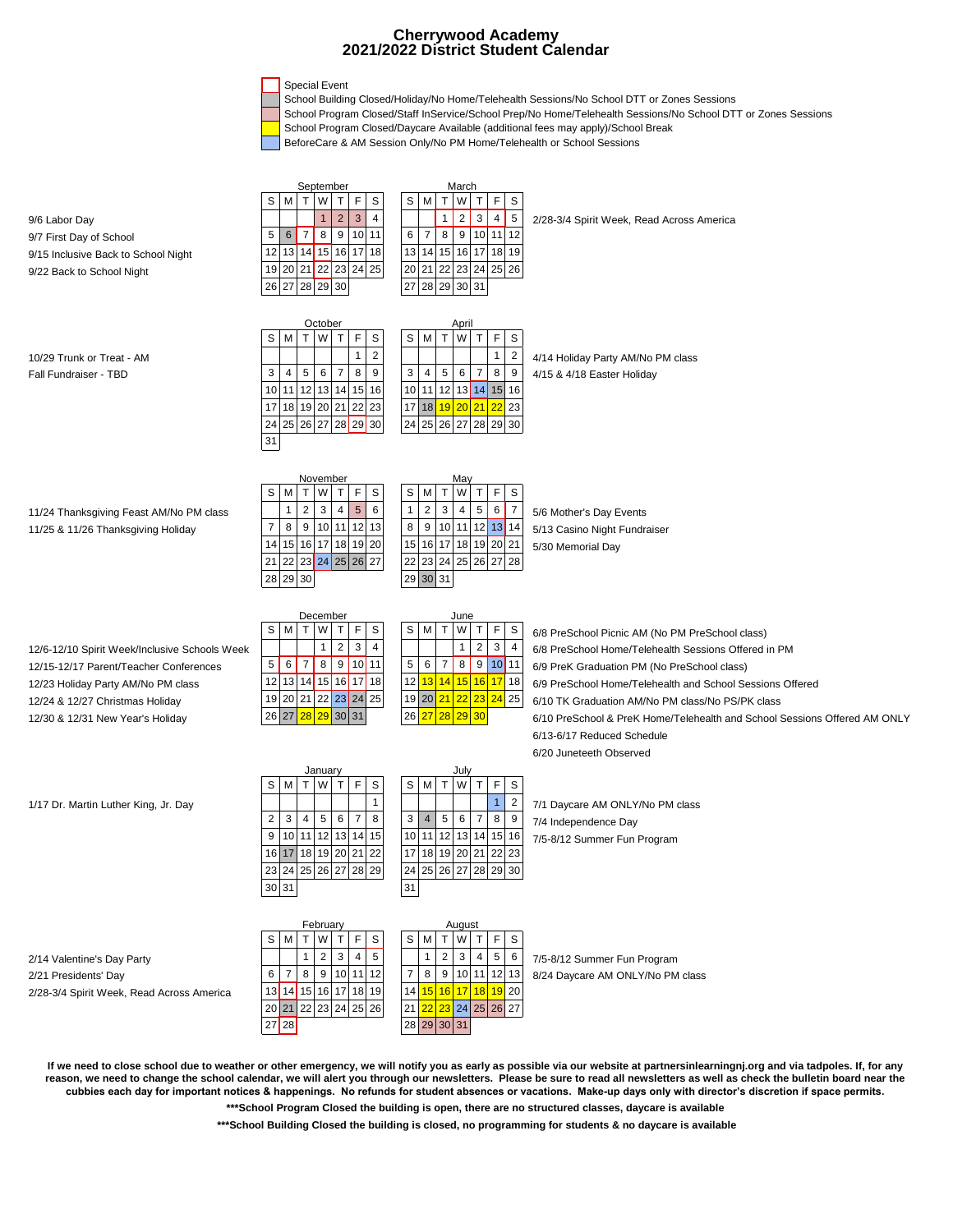## **2021/2022 District Student Calendar Cherrywood Academy**



- School Building Closed/Holiday/No Home/Telehealth Sessions/No School DTT or Zones Sessions
- School Program Closed/Staff InService/School Prep/No Home/Telehealth Sessions/No School DTT or Zones Sessions
- School Program Closed/Daycare Available (additional fees may apply)/School Break
- BeforeCare & AM Session Only/No PM Home/Telehealth or School Sessions

| 9/6 Labor Day<br>9/7 First Day of School<br>9/15 Inclusive Back to School Night<br>9/22 Back to School Night                                                                                         | September<br>М<br>W<br>т<br>F.<br>S<br>s<br>T<br>$\overline{2}$<br>$\mathbf{3}$<br>$\overline{1}$<br>$\overline{4}$<br>8<br>9   10   11<br>$6 \mid$<br>$\overline{7}$<br>5<br>13 14 15 16 17<br>12<br>18<br>19 20 21 22 23 24 25<br>28 29 30<br>26 27 | March<br>S<br>M<br>T<br>T<br>F.<br>W<br>S<br>$\overline{c}$<br>$3 \mid 4 \mid$<br>$\mathbf{1}$<br>$5\phantom{.0}$<br>$8$   9   10   11   12<br>6<br>$\overline{7}$<br>15 16 17 18 19<br>13 14<br>20 21 22 23 24 25 26<br>27 28 29 30 31 | 2/28-3/4 Spirit Week, Read Across America                                                                                                                                                                                                                                                                                                                                                                     |
|------------------------------------------------------------------------------------------------------------------------------------------------------------------------------------------------------|-------------------------------------------------------------------------------------------------------------------------------------------------------------------------------------------------------------------------------------------------------|-----------------------------------------------------------------------------------------------------------------------------------------------------------------------------------------------------------------------------------------|---------------------------------------------------------------------------------------------------------------------------------------------------------------------------------------------------------------------------------------------------------------------------------------------------------------------------------------------------------------------------------------------------------------|
| 10/29 Trunk or Treat - AM<br>Fall Fundraiser - TBD                                                                                                                                                   | October<br>W.<br>T<br>F<br>S<br>М<br>s<br>T.<br>$\overline{2}$<br>$\mathbf{1}$<br>$\overline{7}$<br>8<br>9<br>5<br>6<br>3<br>4<br>12 13 14 15<br>16<br>10<br>11<br>18 19 20 21 22 23<br>17<br>24 25 26 27 28 29 30<br>31                              | April<br>W T<br>$\mathsf F$<br>S<br>M<br>$\mathsf{T}$<br>S<br>$\mathbf{1}$<br>$\overline{2}$<br>$\overline{7}$<br>3<br>4<br>5<br>6<br>8<br>9<br>10 11 12 13 14 15 16<br>17 18 19 20 21 22 23<br>24 25 26 27 28 29 30                    | 4/14 Holiday Party AM/No PM class<br>4/15 & 4/18 Easter Holiday                                                                                                                                                                                                                                                                                                                                               |
| 11/24 Thanksgiving Feast AM/No PM class<br>11/25 & 11/26 Thanksgiving Holiday                                                                                                                        | November<br>M<br>W<br>F.<br>S<br>S<br>T.<br>T<br>$\overline{2}$<br>3<br>$5\phantom{.0}$<br>6<br>$\mathbf{1}$<br>4<br>10 11 12 13<br>$\overline{7}$<br>8<br>9<br>15 16 17 18 19 20<br>14<br>22 23 24 25 26 27<br>21<br>28 29 30                        | May<br>Τ<br>F.<br>S<br>М<br>т<br>W<br>S<br>$\sqrt{5}$<br>$6$   7<br>$\overline{2}$<br>3<br>$\mathbf{1}$<br>$\overline{4}$<br>$\boxed{10}$ 11 12 13 14<br>8<br>9<br>15 16 17 18 19 20 21<br>22 23 24 25 26 27 28<br>29 30 31             | 5/6 Mother's Day Events<br>5/13 Casino Night Fundraiser<br>5/30 Memorial Day                                                                                                                                                                                                                                                                                                                                  |
| 12/6-12/10 Spirit Week/Inclusive Schools Week<br>12/15-12/17 Parent/Teacher Conferences<br>12/23 Holiday Party AM/No PM class<br>12/24 & 12/27 Christmas Holiday<br>12/30 & 12/31 New Year's Holiday | December<br>S M<br>W<br>T.<br>F.<br>S<br>T.<br>$\overline{2}$<br>3<br>$\mathbf{1}$<br>4<br>5 <br>$8$ 9 10 11<br>6<br>$\overline{7}$<br>12 13 14 15 16 17 18<br>19 20 21 22 23 24 25<br>29 30 31<br>26 27<br>28                                        | June<br>$\top$<br>S<br>M<br>T<br>F<br>W<br>S<br>$\overline{2}$<br>3 <sup>1</sup><br>$\mathbf{1}$<br>$\overline{4}$<br>8 9 10 11<br>5<br>6 7<br>12 13 14 15 16 17 18<br>19 20 21 22 23 24 25<br>28<br> 29 30<br>$26$ 27                  | 6/8 PreSchool Picnic AM (No PM PreSchool class)<br>6/8 PreSchool Home/Telehealth Sessions Offered in PM<br>6/9 PreK Graduation PM (No PreSchool class)<br>6/9 PreSchool Home/Telehealth and School Sessions Offered<br>6/10 TK Graduation AM/No PM class/No PS/PK class<br>6/10 PreSchool & PreK Home/Telehealth and School Sessions Offered AM ONLY<br>6/13-6/17 Reduced Schedule<br>6/20 Juneteeth Observed |
| 1/17 Dr. Martin Luther King, Jr. Day                                                                                                                                                                 | January<br>F<br>W<br>T.<br>S<br>S<br>м<br>T.<br>$\mathbf{1}$<br>$\sqrt{5}$<br>8<br>3<br>6<br>$\overline{7}$<br>2<br>4<br>10 11 12 13 14<br>15<br>9<br>16 17 18 19 20 21 22<br>$\overline{26}$ 27<br>23 24 25<br>${\bf 28}$<br>29<br>30 31             | July<br>T<br>$\mathsf F$<br>S<br>W<br>M<br>Т<br>S<br>$\mathbf{1}$<br>$\overline{2}$<br>$\overline{7}$<br>3<br>$\overline{4}$<br>5<br>6<br>8<br>9<br>10 11 12 13 14 15 16<br>17 18 19 20 21 22 23<br>24 25 26 27 28<br>29 30<br>31       | 7/1 Daycare AM ONLY/No PM class<br>7/4 Independence Day<br>7/5-8/12 Summer Fun Program                                                                                                                                                                                                                                                                                                                        |
| 2/14 Valentine's Day Party<br>2/21 Presidents' Day<br>2/28-3/4 Spirit Week, Read Across America                                                                                                      | February<br>F<br>$\mathsf S$<br>M<br>W<br>T<br>s<br>T.<br>3<br>5<br>2<br>$\overline{4}$<br>$\mathbf{1}$<br>9 10 11 12<br>6<br>$\overline{7}$<br>8<br>14 15 16 17 18 19<br>13<br>20 21 22 23 24 25 26<br>$27$ 28                                       | August<br>S M<br>T W<br>T<br>F<br>S<br>$\overline{2}$<br>$\overline{4}$<br>$5\phantom{.0}$<br>1<br>3<br>6<br>9 10 11 12 13<br>$\boldsymbol{7}$<br>8<br>14 <mark>15 16 17 18 19</mark> 20<br>23 24 25 26 27<br>$21$ $22$<br>28 29 30 31  | 7/5-8/12 Summer Fun Program<br>8/24 Daycare AM ONLY/No PM class                                                                                                                                                                                                                                                                                                                                               |

**If we need to close school due to weather or other emergency, we will notify you as early as possible via our website at partnersinlearningnj.org and via tadpoles. If, for any**  reason, we need to change the school calendar, we will alert you through our newsletters. Please be sure to read all newsletters as well as check the bulletin board near the **cubbies each day for important notices & happenings. No refunds for student absences or vacations. Make-up days only with director's discretion if space permits.** 

**\*\*\*School Program Closed the building is open, there are no structured classes, daycare is available**

 **\*\*\*School Building Closed the building is closed, no programming for students & no daycare is available**